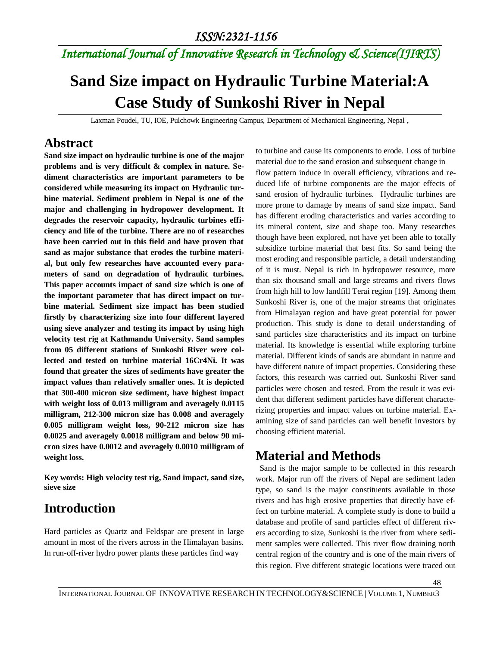# *International Journal of Innovative Research in Technology & Science(IJIRTS)*

# **Sand Size impact on Hydraulic Turbine Material:A Case Study of Sunkoshi River in Nepal**

Laxman Poudel, TU, IOE, Pulchowk Engineering Campus, Department of Mechanical Engineering, Nepal ,

#### **Abstract**

**Sand size impact on hydraulic turbine is one of the major problems and is very difficult & complex in nature. Sediment characteristics are important parameters to be considered while measuring its impact on Hydraulic turbine material. Sediment problem in Nepal is one of the major and challenging in hydropower development. It degrades the reservoir capacity, hydraulic turbines efficiency and life of the turbine. There are no of researches have been carried out in this field and have proven that sand as major substance that erodes the turbine material, but only few researches have accounted every parameters of sand on degradation of hydraulic turbines. This paper accounts impact of sand size which is one of the important parameter that has direct impact on turbine material. Sediment size impact has been studied firstly by characterizing size into four different layered using sieve analyzer and testing its impact by using high velocity test rig at Kathmandu University. Sand samples from 05 different stations of Sunkoshi River were collected and tested on turbine material 16Cr4Ni. It was found that greater the sizes of sediments have greater the impact values than relatively smaller ones. It is depicted that 300-400 micron size sediment, have highest impact with weight loss of 0.013 milligram and averagely 0.0115 milligram, 212-300 micron size has 0.008 and averagely 0.005 milligram weight loss, 90-212 micron size has 0.0025 and averagely 0.0018 milligram and below 90 micron sizes have 0.0012 and averagely 0.0010 milligram of weight loss.**

**Key words: High velocity test rig, Sand impact, sand size, sieve size**

### **Introduction**

Hard particles as Quartz and Feldspar are present in large amount in most of the rivers across in the Himalayan basins. In run-off-river hydro power plants these particles find way

to turbine and cause its components to erode. Loss of turbine material due to the sand erosion and subsequent change in flow pattern induce in overall efficiency, vibrations and reduced life of turbine components are the major effects of sand erosion of hydraulic turbines. Hydraulic turbines are more prone to damage by means of sand size impact. Sand has different eroding characteristics and varies according to its mineral content, size and shape too. Many researches though have been explored, not have yet been able to totally subsidize turbine material that best fits. So sand being the most eroding and responsible particle, a detail understanding of it is must. Nepal is rich in hydropower resource, more than six thousand small and large streams and rivers flows from high hill to low landfill Terai region [19]. Among them Sunkoshi River is, one of the major streams that originates from Himalayan region and have great potential for power production. This study is done to detail understanding of sand particles size characteristics and its impact on turbine material. Its knowledge is essential while exploring turbine material. Different kinds of sands are abundant in nature and have different nature of impact properties. Considering these factors, this research was carried out. Sunkoshi River sand particles were chosen and tested. From the result it was evident that different sediment particles have different characterizing properties and impact values on turbine material. Examining size of sand particles can well benefit investors by choosing efficient material.

### **Material and Methods**

 Sand is the major sample to be collected in this research work. Major run off the rivers of Nepal are sediment laden type, so sand is the major constituents available in those rivers and has high erosive properties that directly have effect on turbine material. A complete study is done to build a database and profile of sand particles effect of different rivers according to size, Sunkoshi is the river from where sediment samples were collected. This river flow draining north central region of the country and is one of the main rivers of this region. Five different strategic locations were traced out

48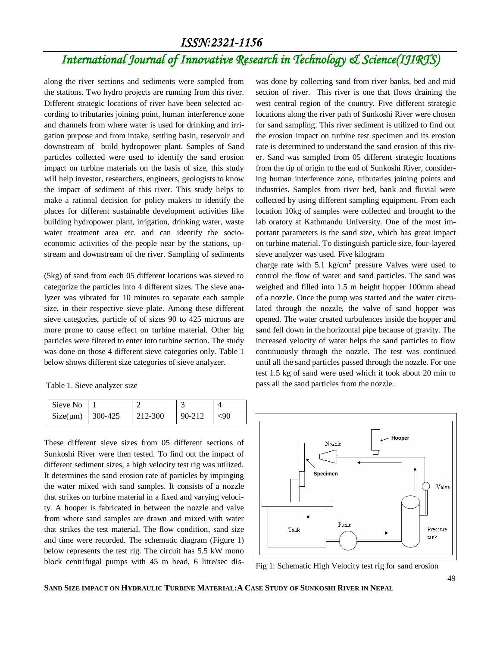#### *ISSN:2321-1156*

# *International Journal of Innovative Research in Technology & Science(IJIRTS)*

along the river sections and sediments were sampled from the stations. Two hydro projects are running from this river. Different strategic locations of river have been selected according to tributaries joining point, human interference zone and channels from where water is used for drinking and irrigation purpose and from intake, settling basin, reservoir and downstream of build hydropower plant. Samples of Sand particles collected were used to identify the sand erosion impact on turbine materials on the basis of size, this study will help investor, researchers, engineers, geologists to know the impact of sediment of this river. This study helps to make a rational decision for policy makers to identify the places for different sustainable development activities like building hydropower plant, irrigation, drinking water, waste water treatment area etc. and can identify the socioeconomic activities of the people near by the stations, upstream and downstream of the river. Sampling of sediments

(5kg) of sand from each 05 different locations was sieved to categorize the particles into 4 different sizes. The sieve analyzer was vibrated for 10 minutes to separate each sample size, in their respective sieve plate. Among these different sieve categories, particle of of sizes 90 to 425 microns are more prone to cause effect on turbine material. Other big particles were filtered to enter into turbine section. The study was done on those 4 different sieve categories only. Table 1 below shows different size categories of sieve analyzer.

Table 1. Sieve analyzer size

| Sieve No              |         |            |           |
|-----------------------|---------|------------|-----------|
| $Size(\mu m)$ 300-425 | 212-300 | $90 - 212$ | $\leq 90$ |

These different sieve sizes from 05 different sections of Sunkoshi River were then tested. To find out the impact of different sediment sizes, a high velocity test rig was utilized. It determines the sand erosion rate of particles by impinging the water mixed with sand samples. It consists of a nozzle that strikes on turbine material in a fixed and varying velocity. A hooper is fabricated in between the nozzle and valve from where sand samples are drawn and mixed with water that strikes the test material. The flow condition, sand size and time were recorded. The schematic diagram (Figure 1) below represents the test rig. The circuit has 5.5 kW mono block centrifugal pumps with 45 m head, 6 litre/sec dis-

was done by collecting sand from river banks, bed and mid section of river. This river is one that flows draining the west central region of the country. Five different strategic locations along the river path of Sunkoshi River were chosen for sand sampling. This river sediment is utilized to find out the erosion impact on turbine test specimen and its erosion rate is determined to understand the sand erosion of this river. Sand was sampled from 05 different strategic locations from the tip of origin to the end of Sunkoshi River, considering human interference zone, tributaries joining points and industries. Samples from river bed, bank and fluvial were collected by using different sampling equipment. From each location 10kg of samples were collected and brought to the lab oratory at Kathmandu University. One of the most important parameters is the sand size, which has great impact on turbine material. To distinguish particle size, four-layered sieve analyzer was used. Five kilogram

charge rate with 5.1 kg/cm<sup>2</sup> pressure Valves were used to control the flow of water and sand particles. The sand was weighed and filled into 1.5 m height hopper 100mm ahead of a nozzle. Once the pump was started and the water circulated through the nozzle, the valve of sand hopper was opened. The water created turbulences inside the hopper and sand fell down in the horizontal pipe because of gravity. The increased velocity of water helps the sand particles to flow continuously through the nozzle. The test was continued until all the sand particles passed through the nozzle. For one test 1.5 kg of sand were used which it took about 20 min to pass all the sand particles from the nozzle.



Fig 1: Schematic High Velocity test rig for sand erosion

SAND SIZE IMPACT ON HYDRAULIC TURBINE MATERIAL: A CASE STUDY OF SUNKOSHI RIVER IN NEPAL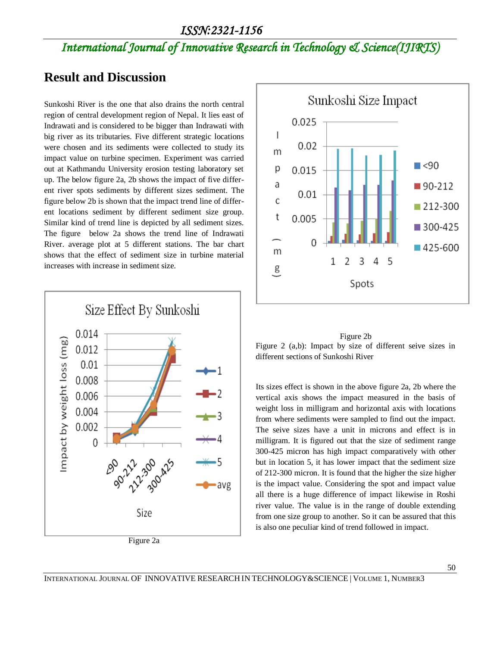## *International Journal of Innovative Research in Technology & Science(IJIRTS)*

#### **Result and Discussion**

Sunkoshi River is the one that also drains the north central region of central development region of Nepal. It lies east of Indrawati and is considered to be bigger than Indrawati with big river as its tributaries. Five different strategic locations were chosen and its sediments were collected to study its impact value on turbine specimen. Experiment was carried out at Kathmandu University erosion testing laboratory set up. The below figure 2a, 2b shows the impact of five different river spots sediments by different sizes sediment. The figure below 2b is shown that the impact trend line of different locations sediment by different sediment size group. Similar kind of trend line is depicted by all sediment sizes. The figure below 2a shows the trend line of Indrawati River. average plot at 5 different stations. The bar chart shows that the effect of sediment size in turbine material increases with increase in sediment size.







Its sizes effect is shown in the above figure 2a, 2b where the vertical axis shows the impact measured in the basis of weight loss in milligram and horizontal axis with locations from where sediments were sampled to find out the impact. The seive sizes have a unit in microns and effect is in milligram. It is figured out that the size of sediment range 300-425 micron has high impact comparatively with other but in location 5, it has lower impact that the sediment size of 212-300 micron. It is found that the higher the size higher is the impact value. Considering the spot and impact value all there is a huge difference of impact likewise in Roshi river value. The value is in the range of double extending from one size group to another. So it can be assured that this is also one peculiar kind of trend followed in impact.

INTERNATIONAL JOURNAL OF INNOVATIVE RESEARCH IN TECHNOLOGY&SCIENCE | VOLUME 1, NUMBER3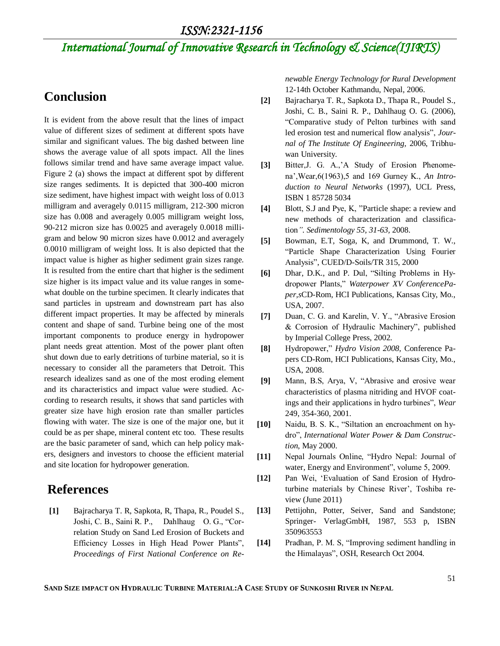*ISSN:2321-1156* 

# *International Journal of Innovative Research in Technology & Science(IJIRTS)*

#### **Conclusion**

It is evident from the above result that the lines of impact value of different sizes of sediment at different spots have similar and significant values. The big dashed between line shows the average value of all spots impact. All the lines follows similar trend and have same average impact value. Figure 2 (a) shows the impact at different spot by different size ranges sediments. It is depicted that 300-400 micron size sediment, have highest impact with weight loss of 0.013 milligram and averagely 0.0115 milligram, 212-300 micron size has 0.008 and averagely 0.005 milligram weight loss, 90-212 micron size has 0.0025 and averagely 0.0018 milligram and below 90 micron sizes have 0.0012 and averagely 0.0010 milligram of weight loss. It is also depicted that the impact value is higher as higher sediment grain sizes range. It is resulted from the entire chart that higher is the sediment size higher is its impact value and its value ranges in somewhat double on the turbine specimen. It clearly indicates that sand particles in upstream and downstream part has also different impact properties. It may be affected by minerals content and shape of sand. Turbine being one of the most important components to produce energy in hydropower plant needs great attention. Most of the power plant often shut down due to early detritions of turbine material, so it is necessary to consider all the parameters that Detroit. This research idealizes sand as one of the most eroding element and its characteristics and impact value were studied. According to research results, it shows that sand particles with greater size have high erosion rate than smaller particles flowing with water. The size is one of the major one, but it could be as per shape, mineral content etc too. These results are the basic parameter of sand, which can help policy makers, designers and investors to choose the efficient material and site location for hydropower generation.

#### **References**

**[1]** Bajracharya T. R, Sapkota, R, Thapa, R., Poudel S., Joshi, C. B., Saini R. P., Dahlhaug O. G., "Correlation Study on Sand Led Erosion of Buckets and Efficiency Losses in High Head Power Plants", *Proceedings of First National Conference on Re-* *newable Energy Technology for Rural Development* 12-14th October Kathmandu, Nepal, 2006.

- **[2]** Bajracharya T. R., Sapkota D., Thapa R., Poudel S., Joshi, C. B., Saini R. P., Dahlhaug O. G. (2006), "Comparative study of Pelton turbines with sand led erosion test and numerical flow analysis", *Journal of The Institute Of Engineering,* 2006, Tribhuwan University.
- [3] Bitter, J. G. A., A Study of Erosion Phenomena",Wear,6(1963),5 and 169 Gurney K., *An Introduction to Neural Networks* (1997), UCL Press, ISBN 1 85728 5034
- **[4]** Blott, S.J and Pye, K, "Particle shape: a review and new methods of characterization and classification*"*. *Sedimentology 55, 31-63,* 2008.
- **[5]** Bowman, E.T, Soga, K, and Drummond, T. W., "Particle Shape Characterization Using Fourier Analysis", CUED/D-Soils/TR 315, 2000
- **[6]** Dhar, D.K., and P. Dul, "Silting Problems in Hydropower Plants," *Waterpower XV ConferencePaper,s*CD-Rom, HCI Publications, Kansas City, Mo., USA, 2007.
- **[7]** Duan, C. G. and Karelin, V. Y., "Abrasive Erosion & Corrosion of Hydraulic Machinery", published by Imperial College Press, 2002.
- **[8]** Hydropower," *Hydro Vision 2008,* Conference Papers CD-Rom, HCI Publications, Kansas City, Mo., USA, 2008.
- **[9]** Mann, B.S, Arya, V, "Abrasive and erosive wear characteristics of plasma nitriding and HVOF coatings and their applications in hydro turbines", *Wear*  249, 354-360, 2001.
- **[10]** Naidu, B. S. K., "Siltation an encroachment on hydro", *International Water Power & Dam Construction*, May 2000.
- **[11]** Nepal Journals Online, "Hydro Nepal: Journal of water, Energy and Environment", volume 5, 2009.
- **[12]** Pan Wei, "Evaluation of Sand Erosion of Hydroturbine materials by Chinese River', Toshiba review (June 2011)
- **[13]** Pettijohn, Potter, Seiver, Sand and Sandstone; Springer- VerlagGmbH, 1987, 553 p, ISBN 350963553
- **[14]** Pradhan, P. M. S, "Improving sediment handling in the Himalayas", OSH, Research Oct 2004.